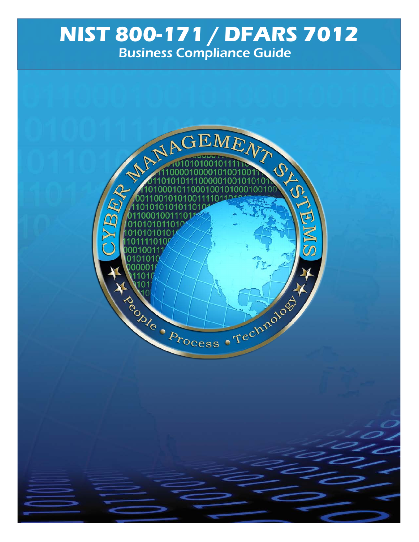### **NIST 800-171 / DFARS 7012** Business Compliance Guide

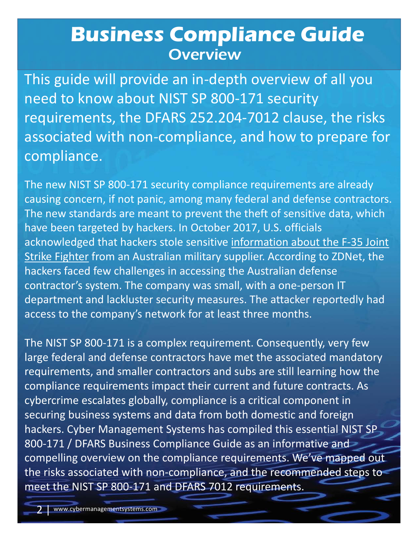### **Business Compliance Guide Business Coverview**

This guide will provide an in-depth overview of all you need to know about NIST SP 800-171 security requirements, the DFARS 252.204-7012 clause, the risks associated with non-compliance, and how to prepare for compliance.

The new standards are meant to prevent the theft of sensitive data, which<br>have been targeted by hackers. In October 2017, U.S. officials e sensitive <u>in</u><br>n military sup<br>accessing the contractor's system. The company was sman, with a one person in<br>department and lackluster security measures. The attacker reportedly had The new NIST SP 800-171 security compliance requirements are already causing concern, if not panic, among many federal and defense contractors. have been targeted by hackers. In October 2017, U.S. officials [acknowledged that hackers stole sensitive information about the F-35 Join](http://fortune.com/2017/10/14/hacked-f-35-data/)t Strike Fighter from an Australian military supplier. According to ZDNet, the hackers faced few challenges in accessing the Australian defense contractor's system. The company was small, with a one-person IT access to the company's network for at least three months.

The NIST SP 800-171 is a complex requirement. Consequently, very few large federal and defense contractors have met the associated mandatory requirements, and smaller contractors and subs are still learning how the compliance requirements impact their current and future contracts. As cybercrime escalates globally, compliance is a critical component in securing business systems and data from both domestic and foreign hackers. Cyber Management Systems has compiled this essential NIST SP 800-171 / DFARS Business Compliance Guide as an informative and compelling overview on the compliance requirements. We've mapped out the risks associated with non-compliance, and the recommended steps to meet the NIST SP 800-171 and DFARS 7012 requirements.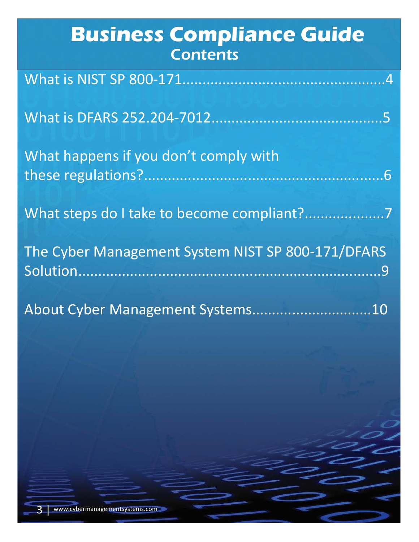| <b>Business Compliance Guide</b><br><b>Contents</b> |
|-----------------------------------------------------|
|                                                     |
|                                                     |
| What happens if you don't comply with               |
|                                                     |
| The Cyber Management System NIST SP 800-171/DFARS   |
| About Cyber Management Systems10                    |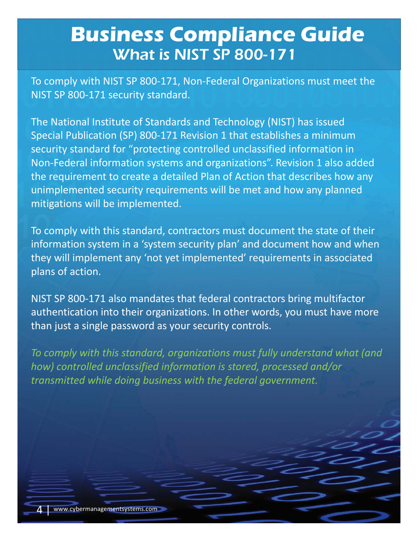### **Business Compliance Guide** What is NIST SP 800-171

To comply with NIST SP 800-171, Non-Federal Organizations must meet the NIST SP 800-171 security standard.

The National Institute of Standards and Technology (NIST) has issued Special Publication (SP) 800-171 Revision 1 that establishes a minimum security standard for "protecting controlled unclassified information in Non-Federal information systems and organizations". Revision 1 also added the requirement to create a detailed Plan of Action that describes how any unimplemented security requirements will be met and how any planned mitigations will be implemented.

mitigations will be implemented.<br>To comply with this standard, contractors must document the state of their security plan'<br>t implemented information system in a 'system security plan' and document how and when they will implement any 'not yet implemented' requirements in associated plans of action.

NIST SP 800-171 also mandates that federal contractors bring multifactor authentication into their organizations. In other words, you must have more than just a single password as your security controls.

*To comply with this standard, organizations must fully understand what (and how) controlled unclassified information is stored, processed and/or transmitted while doing business with the federal government.*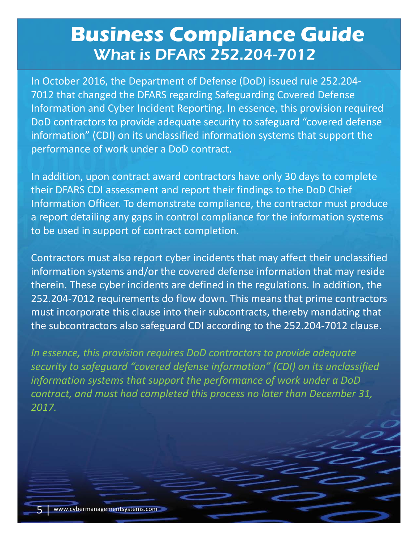# **Business Compliance Guide** What is DFARS 252.204-7012

In October 2016, the Department of Defense (DoD) issued rule 252.204- 7012 that changed the DFARS regarding Safeguarding Covered Defense Information and Cyber Incident Reporting. In essence, this provision required DoD contractors to provide adequate security to safeguard "covered defense information" (CDI) on its unclassified information systems that support the performance of work under a DoD contract.

prination Officer. To demonstrate compilance, the contractor must product<br>port detailing any gaps in control compliance for the information system<br>pe used in support of contract completion. In addition, upon contract award contractors have only 30 days to complete their DFARS CDI assessment and report their findings to the DoD Chief Information Officer. To demonstrate compliance, the contractor must produce a report detailing any gaps in control compliance for the information systems to be used in support of contract completion.

State incidents<br>Surfied deferent<br>Surfied defer cherem. These eyber meading are defined in the regulations. In dadition, the above that prime contractors Contractors must also report cyber incidents that may affect their unclassified information systems and/or the covered defense information that may reside therein. These cyber incidents are defined in the regulations. In addition, the must incorporate this clause into their subcontracts, thereby mandating that the subcontractors also safeguard CDI according to the 252.204-7012 clause.

*In essence, this provision requires DoD contractors to provide adequate security to safeguard "covered defense information" (CDI) on its unclassified information systems that support the performance of work under a DoD contract, and must had completed this process no later than December 31, 2017.*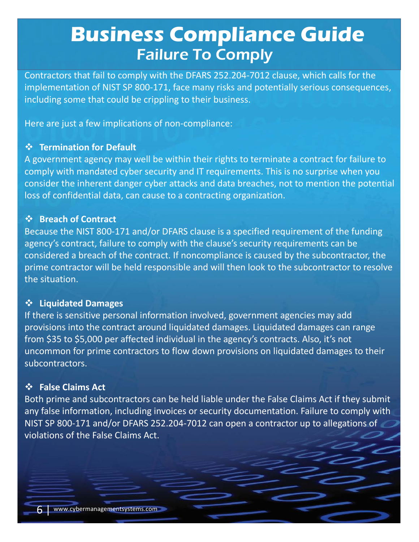# **Business Compliance Guide Failure To Comply**

Contractors that fail to comply with the DFARS 252.204-7012 clause, which calls for the implementation of NIST SP 800-171, face many risks and potentially serious consequences, including some that could be crippling to their business.

Here are just a few implications of non-compliance:

#### v **Termination for Default**

A government agency may well be within their rights to terminate a contract for failure to comply with mandated cyber security and IT requirements. This is no surprise when you consider the inherent danger cyber attacks and data breaches, not to mention the potential loss of confidential data, can cause to a contracting organization.

#### **❖** Breach of Contract

↓<br>
Secause the NIST 800-171 and/or DFARS clause is a specified requirement of the funding<br> **Because the NIST 800-171 and/or DFARS clause is a specified requirement of the funding** ith the clause's :<br><sup>F</sup> noncompliance<br>ible and will <mark>t</mark>he agency's contract, failure to comply with the clause's security requirements can be considered a breach of the contract. If noncompliance is caused by the subcontractor, the prime contractor will be held responsible and will then look to the subcontractor to resolve the situation.

#### v **Liquidated Damages**

If there is sensitive personal information involved, government agencies may add provisions into the contract around liquidated damages. Liquidated damages can range from \$35 to \$5,000 per affected individual in the agency's contracts. Also, it's not uncommon for prime contractors to flow down provisions on liquidated damages to their subcontractors.

#### $\diamondsuit$  **False Claims Act**

Both prime and subcontractors can be held liable under the False Claims Act if they submit any false information, including invoices or security documentation. Failure to comply with NIST SP 800-171 and/or DFARS 252.204-7012 can open a contractor up to allegations of violations of the False Claims Act.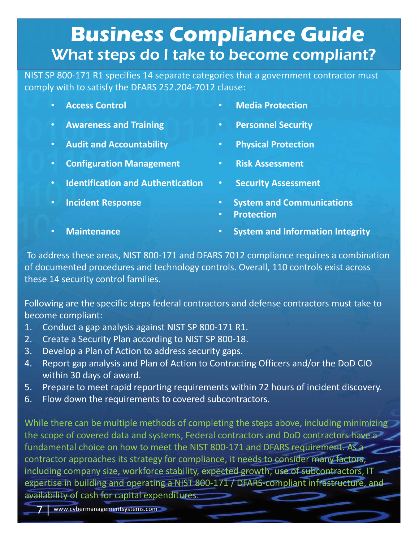# **Business Compliance Guide** What steps do I take to become compliant?

NIST SP 800-171 R1 specifies 14 separate categories that a government contractor must comply with to satisfy the DFARS 252.204-7012 clause:

- 
- **Awareness and Training Personnel Security**
- **Audit and Accountability Physical Protection**
- **Configuration Management Risk Assessment**
- **Identification and Authentication Security Assessment**
- 
- **Access Control Media Protection**
	-
	-
	-
	-
- **Incident Response System and Communications**
	- **Protection**
- 
- restituted to esponse<br>
 **Protection**<br>
 **Maintenance System and Information Integrity**

and DFARS 701<br>ology controls. To address these areas, NIST 800-171 and DFARS 7012 compliance requires a combination of documented procedures and technology controls. Overall, 110 controls exist across these 14 security control families.

Click to edit Master subtitle style Following are the specific steps federal contractors and defense contractors must take to become compliant:

- 1. Conduct a gap analysis against NIST SP 800-171 R1.
- 2. Create a Security Plan according to NIST SP 800-18.
- 3. Develop a Plan of Action to address security gaps.
- 4. Report gap analysis and Plan of Action to Contracting Officers and/or the DoD CIO within 30 days of award.
- 5. Prepare to meet rapid reporting requirements within 72 hours of incident discovery.
- 6. Flow down the requirements to covered subcontractors.

While there can be multiple methods of completing the steps above, including minimizing the scope of covered data and systems, Federal contractors and DoD contractors have a fundamental choice on how to meet the NIST 800-171 and DFARS requirement. As a contractor approaches its strategy for compliance, it needs to consider many factors, including company size, workforce stability, expected growth, use of subcontractors, IT expertise in building and operating a NIST 800-171 / DFARS-compliant infrastructure, and availability of cash for capital expenditures.

3/18/18 7 www.cybermanagementsystems.com 7 |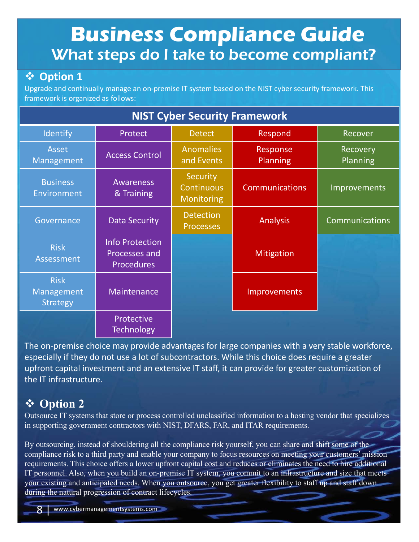# **Business Compliance Guide** What steps do I take to become compliant?

### v **Option 1**

Upgrade and continually manage an on-premise IT system based on the NIST cyber security framework. This framework is organized as follows:

| <b>NIST Cyber Security Framework</b>         |                                                              |                                             |                       |                       |  |
|----------------------------------------------|--------------------------------------------------------------|---------------------------------------------|-----------------------|-----------------------|--|
| Identify                                     | Protect                                                      | <b>Detect</b>                               | Respond               | Recover               |  |
| <b>Asset</b><br>Management                   | <b>Access Control</b>                                        | <b>Anomalies</b><br>and Events              | Response<br>Planning  | Recovery<br>Planning  |  |
| <b>Business</b><br>Environment               | <b>Awareness</b><br>& Training                               | Security<br>Continuous<br><b>Monitoring</b> | <b>Communications</b> | Improvements          |  |
| Governance                                   | <b>Data Security</b>                                         | <b>Detection</b><br><b>Processes</b>        | <b>Analysis</b>       | <b>Communications</b> |  |
| <b>Risk</b><br><b>Assessment</b>             | <b>Info Protection</b><br>Processes and<br><b>Procedures</b> |                                             | Mitigation            |                       |  |
| <b>Risk</b><br>Management<br><b>Strategy</b> | Maintenance                                                  |                                             | Improvements          |                       |  |
|                                              | Protective<br><b>Technology</b>                              |                                             |                       |                       |  |

The on-premise choice may provide advantages for large companies with a very stable workforce, especially if they do not use a lot of subcontractors. While this choice does require a greater upfront capital investment and an extensive IT staff, it can provide for greater customization of the IT infrastructure.

### v **Option 2**

Outsource IT systems that store or process controlled unclassified information to a hosting vendor that specializes in supporting government contractors with NIST, DFARS, FAR, and ITAR requirements.

By outsourcing, instead of shouldering all the compliance risk yourself, you can share and shift some of the compliance risk to a third party and enable your company to focus resources on meeting your customers' mission requirements. This choice offers a lower upfront capital cost and reduces or eliminates the need to hire additional IT personnel. Also, when you build an on-premise IT system, you commit to an infrastructure and size that meets your existing and anticipated needs. When you outsource, you get greater flexibility to staff up and staff down during the natural progression of contract lifecycles.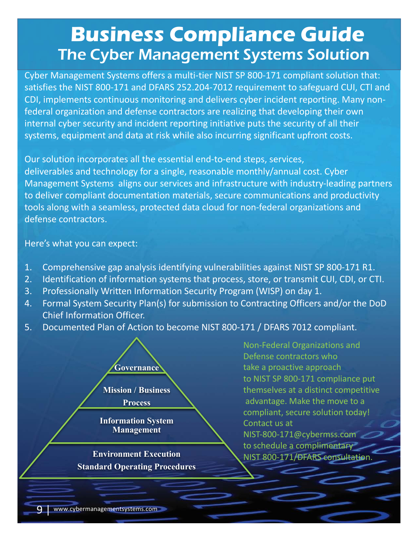### **Business Compliance Guide The Cyber Management Systems Solution**

Cyber Management Systems offers a multi-tier NIST SP 800-171 compliant solution that: satisfies the NIST 800-171 and DFARS 252.204-7012 requirement to safeguard CUI, CTI and CDI, implements continuous monitoring and delivers cyber incident reporting. Many nonfederal organization and defense contractors are realizing that developing their own internal cyber security and incident reporting initiative puts the security of all their systems, equipment and data at risk while also incurring significant upfront costs.

Click to edit Master title tools along with a seamless, protected data cloud for non-federal organizations and Our solution incorporates all the essential end-to-end steps, services, deliverables and technology for a single, reasonable monthly/annual cost. Cyber Management Systems aligns our services and infrastructure with industry-leading partners to deliver compliant documentation materials, secure communications and productivity defense contractors.

Here's what you can expect:

- Here's what you can expect:<br>1. Comprehensive gap analysis identifying vulnerabilities against NIST SP 800-171 R1.
- 2. Identification of information systems that process, store, or transmit CUI, CDI, or CTI.
- 3. Professionally Written Information Security Program (WISP) on day 1.
- 4. Formal System Security Plan(s) for submission to Contracting Officers and/or the DoD Chief Information Officer.
- 5. Documented Plan of Action to become NIST 800-171 / DFARS 7012 compliant.

**Governance Mission / Business Process Information System Management**

**Environment Execution Standard Operating Procedures** Non-Federal Organizations and Defense contractors who take a proactive approach to NIST SP 800-171 compliance put themselves at a distinct competitive advantage. Make the move to a compliant, secure solution today! Contact us at NIST-800-171@cybermss.com to schedule a complimentary NIST 800-171/DFARS consultation.

extending to the www.cybermanagementsystems.com